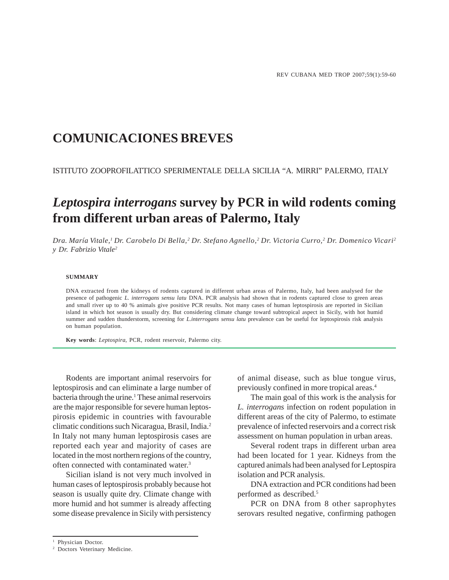# **COMUNICACIONES BREVES**

ISTITUTO ZOOPROFILATTICO SPERIMENTALE DELLA SICILIA "A. MIRRI" PALERMO, ITALY

# *Leptospira interrogans* **survey by PCR in wild rodents coming from different urban areas of Palermo, Italy**

*Dra. María Vitale,1 Dr. Carobelo Di Bella,2 Dr. Stefano Agnello,2 Dr. Victoria Curro,2 Dr. Domenico Vicari2 y Dr. Fabrizio Vitale2*

### **SUMMARY**

DNA extracted from the kidneys of rodents captured in different urban areas of Palermo, Italy, had been analysed for the presence of pathogenic *L. interrogans sensu latu* DNA. PCR analysis had shown that in rodents captured close to green areas and small river up to 40 % animals give positive PCR results. Not many cases of human leptospirosis are reported in Sicilian island in which hot season is usually dry. But considering climate change toward subtropical aspect in Sicily, with hot humid summer and sudden thunderstorm, screening for *L.interrogans sensu latu* prevalence can be useful for leptospirosis risk analysis on human population.

**Key words**: *Leptospira*, PCR, rodent reservoir, Palermo city.

Rodents are important animal reservoirs for leptospirosis and can eliminate a large number of bacteria through the urine.<sup>1</sup> These animal reservoirs are the major responsible for severe human leptospirosis epidemic in countries with favourable climatic conditions such Nicaragua, Brasil, India.2 In Italy not many human leptospirosis cases are reported each year and majority of cases are located in the most northern regions of the country, often connected with contaminated water.3

Sicilian island is not very much involved in human cases of leptospirosis probably because hot season is usually quite dry. Climate change with more humid and hot summer is already affecting some disease prevalence in Sicily with persistency of animal disease, such as blue tongue virus, previously confined in more tropical areas.4

The main goal of this work is the analysis for *L. interrogans* infection on rodent population in different areas of the city of Palermo, to estimate prevalence of infected reservoirs and a correct risk assessment on human population in urban areas.

Several rodent traps in different urban area had been located for 1 year. Kidneys from the captured animals had been analysed for Leptospira isolation and PCR analysis.

DNA extraction and PCR conditions had been performed as described.5

PCR on DNA from 8 other saprophytes serovars resulted negative, confirming pathogen

<sup>&</sup>lt;sup>1</sup> Physician Doctor.

<sup>2</sup> Doctors Veterinary Medicine.